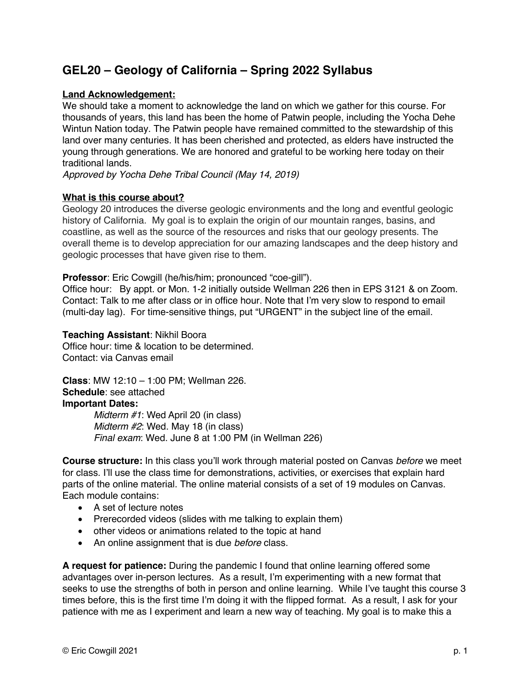# **GEL20 – Geology of California – Spring 2022 Syllabus**

# **Land Acknowledgement:**

We should take a moment to acknowledge the land on which we gather for this course. For thousands of years, this land has been the home of Patwin people, including the Yocha Dehe Wintun Nation today. The Patwin people have remained committed to the stewardship of this land over many centuries. It has been cherished and protected, as elders have instructed the young through generations. We are honored and grateful to be working here today on their traditional lands.

*Approved by Yocha Dehe Tribal Council (May 14, 2019)*

## **What is this course about?**

Geology 20 introduces the diverse geologic environments and the long and eventful geologic history of California. My goal is to explain the origin of our mountain ranges, basins, and coastline, as well as the source of the resources and risks that our geology presents. The overall theme is to develop appreciation for our amazing landscapes and the deep history and geologic processes that have given rise to them.

## **Professor**: Eric Cowgill (he/his/him; pronounced "coe-gill").

Office hour: By appt. or Mon. 1-2 initially outside Wellman 226 then in EPS 3121 & on Zoom. Contact: Talk to me after class or in office hour. Note that I'm very slow to respond to email (multi-day lag). For time-sensitive things, put "URGENT" in the subject line of the email.

#### **Teaching Assistant**: Nikhil Boora

Office hour: time & location to be determined. Contact: via Canvas email

**Class**: MW 12:10 – 1:00 PM; Wellman 226. **Schedule**: see attached **Important Dates:**

> *Midterm #1*: Wed April 20 (in class) *Midterm #2*: Wed. May 18 (in class) *Final exam*: Wed. June 8 at 1:00 PM (in Wellman 226)

**Course structure:** In this class you'll work through material posted on Canvas *before* we meet for class. I'll use the class time for demonstrations, activities, or exercises that explain hard parts of the online material. The online material consists of a set of 19 modules on Canvas. Each module contains:

- A set of lecture notes
- Prerecorded videos (slides with me talking to explain them)
- other videos or animations related to the topic at hand
- An online assignment that is due *before* class.

**A request for patience:** During the pandemic I found that online learning offered some advantages over in-person lectures. As a result, I'm experimenting with a new format that seeks to use the strengths of both in person and online learning. While I've taught this course 3 times before, this is the first time I'm doing it with the flipped format. As a result, I ask for your patience with me as I experiment and learn a new way of teaching. My goal is to make this a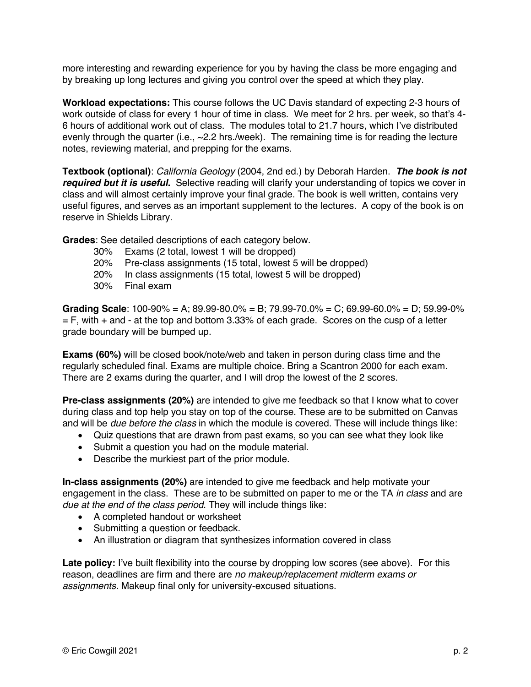more interesting and rewarding experience for you by having the class be more engaging and by breaking up long lectures and giving you control over the speed at which they play.

**Workload expectations:** This course follows the UC Davis standard of expecting 2-3 hours of work outside of class for every 1 hour of time in class. We meet for 2 hrs. per week, so that's 4- 6 hours of additional work out of class. The modules total to 21.7 hours, which I've distributed evenly through the quarter (i.e.,  $\sim$  2.2 hrs./week). The remaining time is for reading the lecture notes, reviewing material, and prepping for the exams.

**Textbook (optional)**: *California Geology* (2004, 2nd ed.) by Deborah Harden. *The book is not required but it is useful.* Selective reading will clarify your understanding of topics we cover in class and will almost certainly improve your final grade. The book is well written, contains very useful figures, and serves as an important supplement to the lectures. A copy of the book is on reserve in Shields Library.

**Grades**: See detailed descriptions of each category below.

- 30% Exams (2 total, lowest 1 will be dropped)
- 20% Pre-class assignments (15 total, lowest 5 will be dropped)
- 20% In class assignments (15 total, lowest 5 will be dropped)
- 30% Final exam

**Grading Scale**: 100-90% = A; 89.99-80.0% = B; 79.99-70.0% = C; 69.99-60.0% = D; 59.99-0%  $=$  F, with  $+$  and  $-$  at the top and bottom 3.33% of each grade. Scores on the cusp of a letter grade boundary will be bumped up.

**Exams (60%)** will be closed book/note/web and taken in person during class time and the regularly scheduled final. Exams are multiple choice. Bring a Scantron 2000 for each exam. There are 2 exams during the quarter, and I will drop the lowest of the 2 scores.

**Pre-class assignments (20%)** are intended to give me feedback so that I know what to cover during class and top help you stay on top of the course. These are to be submitted on Canvas and will be *due before the class* in which the module is covered. These will include things like:

- Quiz questions that are drawn from past exams, so you can see what they look like
- Submit a question you had on the module material.
- Describe the murkiest part of the prior module.

**In-class assignments (20%)** are intended to give me feedback and help motivate your engagement in the class. These are to be submitted on paper to me or the TA *in class* and are *due at the end of the class period*. They will include things like:

- A completed handout or worksheet
- Submitting a question or feedback.
- An illustration or diagram that synthesizes information covered in class

Late policy: I've built flexibility into the course by dropping low scores (see above). For this reason, deadlines are firm and there are *no makeup/replacement midterm exams or assignments.* Makeup final only for university-excused situations.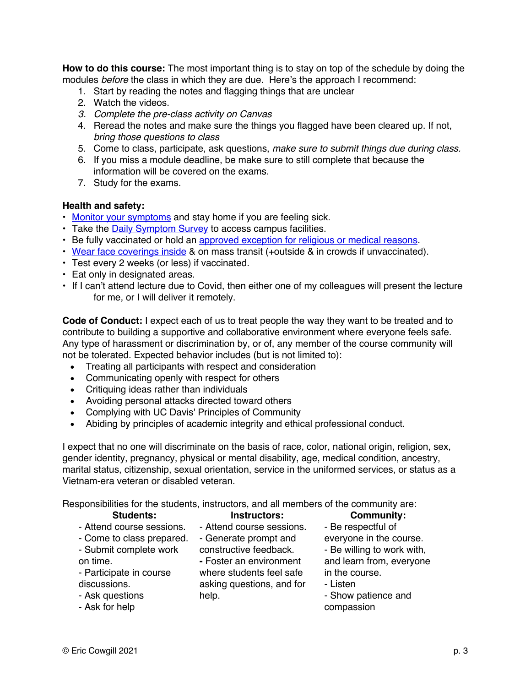**How to do this course:** The most important thing is to stay on top of the schedule by doing the modules *before* the class in which they are due. Here's the approach I recommend:

- 1. Start by reading the notes and flagging things that are unclear
- 2. Watch the videos.
- *3. Complete the pre-class activity on Canvas*
- 4. Reread the notes and make sure the things you flagged have been cleared up. If not, *bring those questions to class*
- 5. Come to class, participate, ask questions, *make sure to submit things due during class.*
- 6. If you miss a module deadline, be make sure to still complete that because the information will be covered on the exams.
- 7. Study for the exams.

#### **Health and safety:**

- Monitor your symptoms and stay home if you are feeling sick.
- Take the **Daily Symptom Survey** to access campus facilities.
- Be fully vaccinated or hold an approved exception for religious or medical reasons.
- Wear face coverings inside & on mass transit (+outside & in crowds if unvaccinated).
- Test every 2 weeks (or less) if vaccinated.
- Eat only in designated areas.
- If I can't attend lecture due to Covid, then either one of my colleagues will present the lecture for me, or I will deliver it remotely.

**Code of Conduct:** I expect each of us to treat people the way they want to be treated and to contribute to building a supportive and collaborative environment where everyone feels safe. Any type of harassment or discrimination by, or of, any member of the course community will not be tolerated. Expected behavior includes (but is not limited to):

- Treating all participants with respect and consideration
- Communicating openly with respect for others
- Critiquing ideas rather than individuals
- Avoiding personal attacks directed toward others
- Complying with UC Davis' Principles of Community
- Abiding by principles of academic integrity and ethical professional conduct.

I expect that no one will discriminate on the basis of race, color, national origin, religion, sex, gender identity, pregnancy, physical or mental disability, age, medical condition, ancestry, marital status, citizenship, sexual orientation, service in the uniformed services, or status as a Vietnam-era veteran or disabled veteran.

Responsibilities for the students, instructors, and all members of the community are:

| <b>Students:</b>          | Instructors:              | <b>Community:</b>          |
|---------------------------|---------------------------|----------------------------|
| - Attend course sessions. | - Attend course sessions. | - Be respectful of         |
| - Come to class prepared. | - Generate prompt and     | everyone in the course.    |
| - Submit complete work    | constructive feedback.    | - Be willing to work with, |
| on time.                  | - Foster an environment   | and learn from, everyone   |
| - Participate in course   | where students feel safe  | in the course.             |
| discussions.              | asking questions, and for | - Listen                   |
| - Ask questions           | help.                     | - Show patience and        |
| - Ask for help            |                           | compassion                 |
|                           |                           |                            |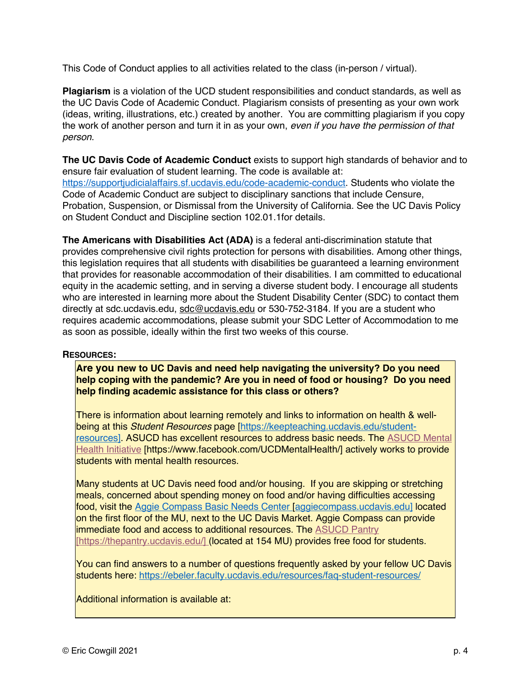This Code of Conduct applies to all activities related to the class (in-person / virtual).

**Plagiarism** is a violation of the UCD student responsibilities and conduct standards, as well as the UC Davis Code of Academic Conduct. Plagiarism consists of presenting as your own work (ideas, writing, illustrations, etc.) created by another. You are committing plagiarism if you copy the work of another person and turn it in as your own, *even if you have the permission of that person*.

**The UC Davis Code of Academic Conduct** exists to support high standards of behavior and to ensure fair evaluation of student learning. The code is available at: https://supportjudicialaffairs.sf.ucdavis.edu/code-academic-conduct. Students who violate the Code of Academic Conduct are subject to disciplinary sanctions that include Censure, Probation, Suspension, or Dismissal from the University of California. See the UC Davis Policy on Student Conduct and Discipline section 102.01.1for details.

**The Americans with Disabilities Act (ADA)** is a federal anti-discrimination statute that provides comprehensive civil rights protection for persons with disabilities. Among other things, this legislation requires that all students with disabilities be guaranteed a learning environment that provides for reasonable accommodation of their disabilities. I am committed to educational equity in the academic setting, and in serving a diverse student body. I encourage all students who are interested in learning more about the Student Disability Center (SDC) to contact them directly at sdc.ucdavis.edu, sdc@ucdavis.edu or 530-752-3184. If you are a student who requires academic accommodations, please submit your SDC Letter of Accommodation to me as soon as possible, ideally within the first two weeks of this course.

#### **RESOURCES:**

**Are you new to UC Davis and need help navigating the university? Do you need help coping with the pandemic? Are you in need of food or housing? Do you need help finding academic assistance for this class or others?**

There is information about learning remotely and links to information on health & wellbeing at this *Student Resources* page [https://keepteaching.ucdavis.edu/studentresources]. ASUCD has excellent resources to address basic needs. The ASUCD Mental Health Initiative [https://www.facebook.com/UCDMentalHealth/] actively works to provide students with mental health resources.

Many students at UC Davis need food and/or housing. If you are skipping or stretching meals, concerned about spending money on food and/or having difficulties accessing food, visit the Aggie Compass Basic Needs Center [aggiecompass.ucdavis.edu] located on the first floor of the MU, next to the UC Davis Market. Aggie Compass can provide immediate food and access to additional resources. The **ASUCD Pantry** [https://thepantry.ucdavis.edu/] (located at 154 MU) provides free food for students.

You can find answers to a number of questions frequently asked by your fellow UC Davis students here: https://ebeler.faculty.ucdavis.edu/resources/faq-student-resources/

Additional information is available at: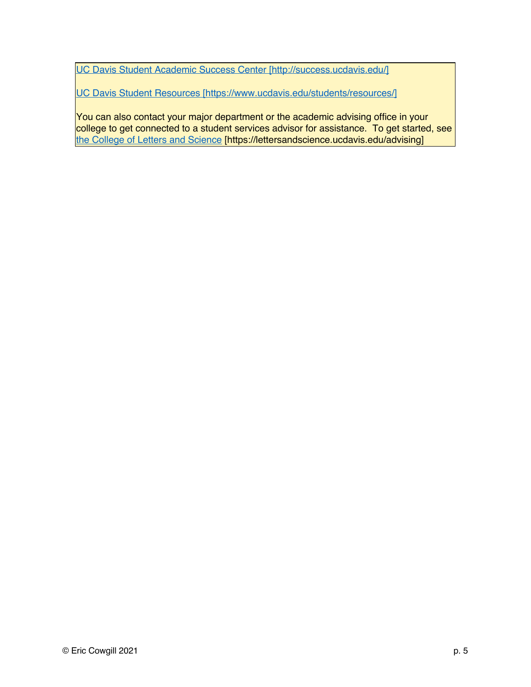UC Davis Student Academic Success Center [http://success.ucdavis.edu/]

UC Davis Student Resources [https://www.ucdavis.edu/students/resources/]

You can also contact your major department or the academic advising office in your college to get connected to a student services advisor for assistance. To get started, see the College of Letters and Science [https://lettersandscience.ucdavis.edu/advising]